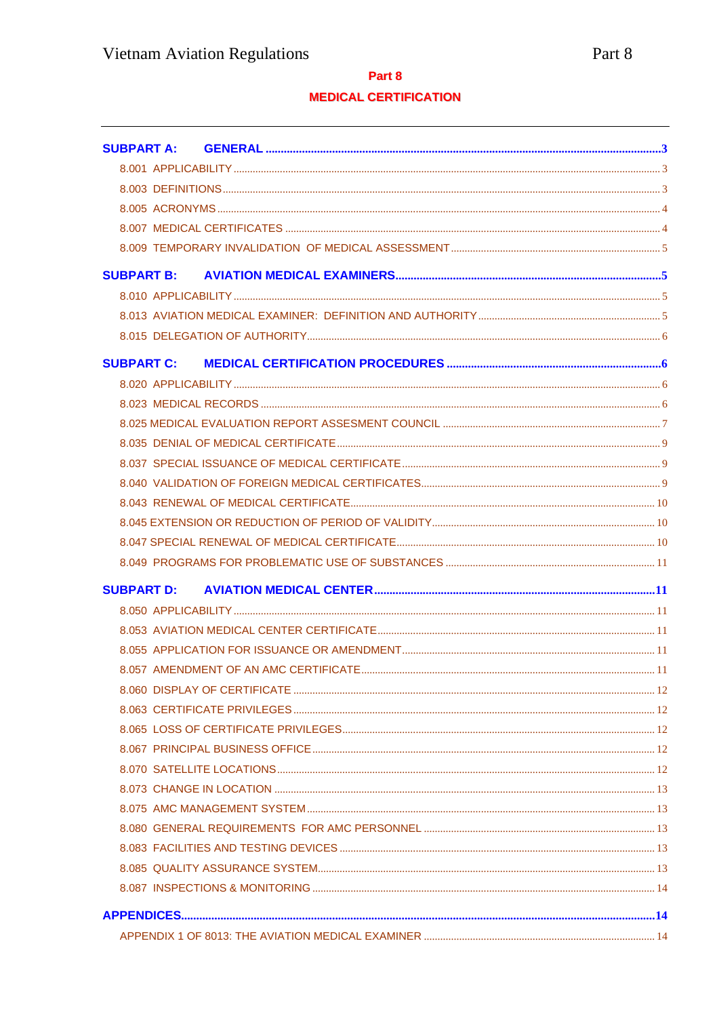## Part 8

# **MEDICAL CERTIFICATION**

| <b>SUBPART A:</b> |  |
|-------------------|--|
|                   |  |
|                   |  |
|                   |  |
|                   |  |
|                   |  |
|                   |  |
|                   |  |
|                   |  |
|                   |  |
| <b>SUBPART C:</b> |  |
|                   |  |
|                   |  |
|                   |  |
|                   |  |
|                   |  |
|                   |  |
|                   |  |
|                   |  |
|                   |  |
|                   |  |
|                   |  |
|                   |  |
|                   |  |
|                   |  |
|                   |  |
|                   |  |
|                   |  |
|                   |  |
|                   |  |
|                   |  |
|                   |  |
|                   |  |
|                   |  |
|                   |  |
|                   |  |
|                   |  |
|                   |  |
|                   |  |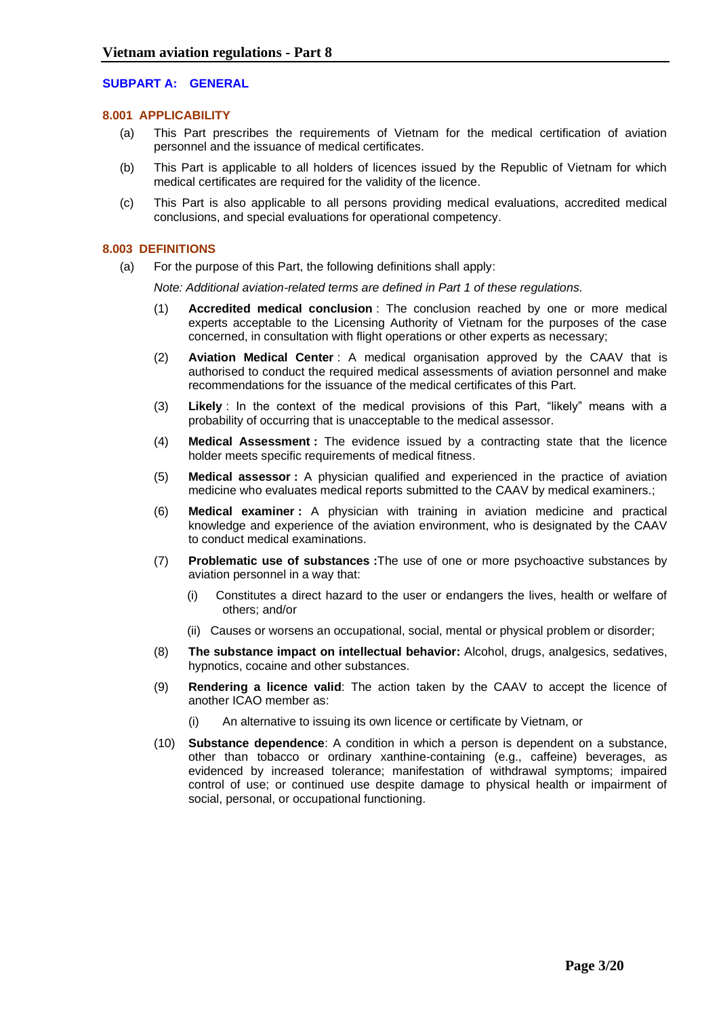## <span id="page-2-1"></span><span id="page-2-0"></span>**SUBPART A: GENERAL**

### **8.001 APPLICABILITY**

- (a) This Part prescribes the requirements of Vietnam for the medical certification of aviation personnel and the issuance of medical certificates.
- (b) This Part is applicable to all holders of licences issued by the Republic of Vietnam for which medical certificates are required for the validity of the licence.
- (c) This Part is also applicable to all persons providing medical evaluations, accredited medical conclusions, and special evaluations for operational competency.

### <span id="page-2-2"></span>**8.003 DEFINITIONS**

(a) For the purpose of this Part, the following definitions shall apply:

*Note: Additional aviation-related terms are defined in Part 1 of these regulations.*

- (1) **Accredited medical conclusion** : The conclusion reached by one or more medical experts acceptable to the Licensing Authority of Vietnam for the purposes of the case concerned, in consultation with flight operations or other experts as necessary;
- (2) **Aviation Medical Center** : A medical organisation approved by the CAAV that is authorised to conduct the required medical assessments of aviation personnel and make recommendations for the issuance of the medical certificates of this Part.
- (3) **Likely** : In the context of the medical provisions of this Part, "likely" means with a probability of occurring that is unacceptable to the medical assessor.
- (4) **Medical Assessment :** The evidence issued by a contracting state that the licence holder meets specific requirements of medical fitness.
- (5) **Medical assessor :** A physician qualified and experienced in the practice of aviation medicine who evaluates medical reports submitted to the CAAV by medical examiners.;
- (6) **Medical examiner :** A physician with training in aviation medicine and practical knowledge and experience of the aviation environment, who is designated by the CAAV to conduct medical examinations.
- (7) **Problematic use of substances :**The use of one or more psychoactive substances by aviation personnel in a way that:
	- (i) Constitutes a direct hazard to the user or endangers the lives, health or welfare of others; and/or
	- (ii) Causes or worsens an occupational, social, mental or physical problem or disorder;
- (8) **The substance impact on intellectual behavior:** Alcohol, drugs, analgesics, sedatives, hypnotics, cocaine and other substances.
- (9) **Rendering a licence valid**: The action taken by the CAAV to accept the licence of another ICAO member as:
	- An alternative to issuing its own licence or certificate by Vietnam, or
- (10) **Substance dependence**: A condition in which a person is dependent on a substance, other than tobacco or ordinary xanthine-containing (e.g., caffeine) beverages, as evidenced by increased tolerance; manifestation of withdrawal symptoms; impaired control of use; or continued use despite damage to physical health or impairment of social, personal, or occupational functioning.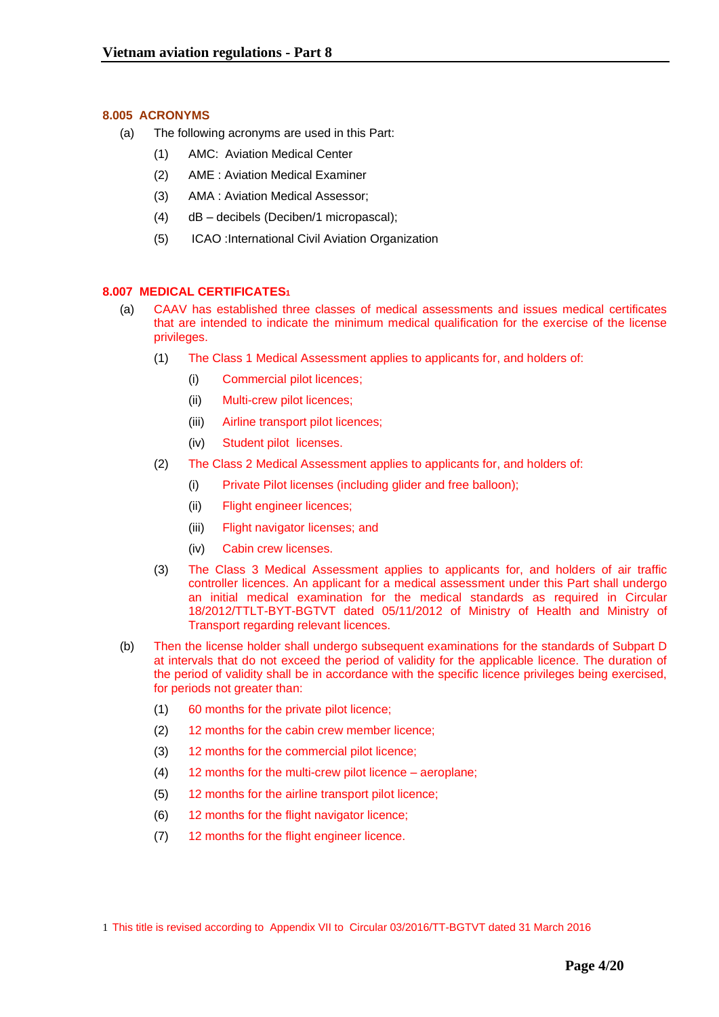## <span id="page-3-0"></span>**8.005 ACRONYMS**

- (a) The following acronyms are used in this Part:
	- (1) AMC: Aviation Medical Center
	- (2) AME : Aviation Medical Examiner
	- (3) AMA : Aviation Medical Assessor;
	- (4) dB decibels (Deciben/1 micropascal);
	- (5) ICAO :International Civil Aviation Organization

## <span id="page-3-1"></span>**8.007 MEDICAL CERTIFICATES<sup>1</sup>**

- (a) CAAV has established three classes of medical assessments and issues medical certificates that are intended to indicate the minimum medical qualification for the exercise of the license privileges.
	- (1) The Class 1 Medical Assessment applies to applicants for, and holders of:
		- (i) Commercial pilot licences;
		- (ii) Multi-crew pilot licences;
		- (iii) Airline transport pilot licences;
		- (iv) Student pilot licenses.
	- (2) The Class 2 Medical Assessment applies to applicants for, and holders of:
		- (i) Private Pilot licenses (including glider and free balloon);
		- (ii) Flight engineer licences;
		- (iii) Flight navigator licenses; and
		- (iv) Cabin crew licenses.
	- (3) The Class 3 Medical Assessment applies to applicants for, and holders of air traffic controller licences. An applicant for a medical assessment under this Part shall undergo an initial medical examination for the medical standards as required in Circular 18/2012/TTLT-BYT-BGTVT dated 05/11/2012 of Ministry of Health and Ministry of Transport regarding relevant licences.
- (b) Then the license holder shall undergo subsequent examinations for the standards of Subpart D at intervals that do not exceed the period of validity for the applicable licence. The duration of the period of validity shall be in accordance with the specific licence privileges being exercised, for periods not greater than:
	- (1) 60 months for the private pilot licence;
	- (2) 12 months for the cabin crew member licence;
	- (3) 12 months for the commercial pilot licence;
	- (4) 12 months for the multi-crew pilot licence aeroplane;
	- (5) 12 months for the airline transport pilot licence;
	- (6) 12 months for the flight navigator licence;
	- (7) 12 months for the flight engineer licence.

<sup>1</sup> This title is revised according to Appendix VII to Circular 03/2016/TT-BGTVT dated 31 March 2016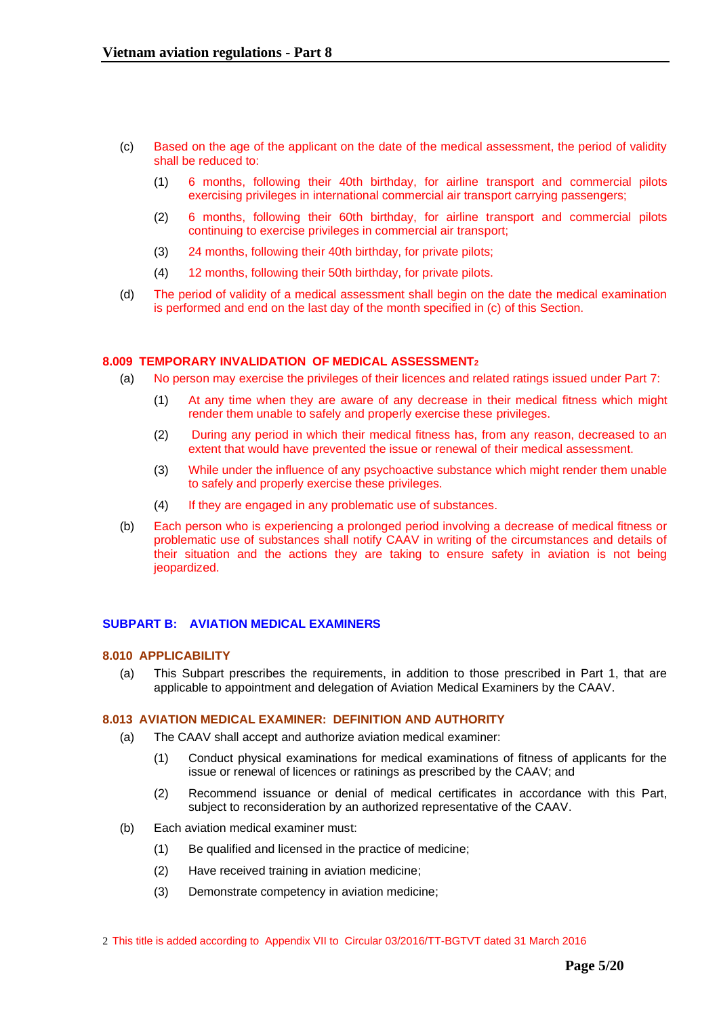- (c) Based on the age of the applicant on the date of the medical assessment, the period of validity shall be reduced to:
	- (1) 6 months, following their 40th birthday, for airline transport and commercial pilots exercising privileges in international commercial air transport carrying passengers;
	- (2) 6 months, following their 60th birthday, for airline transport and commercial pilots continuing to exercise privileges in commercial air transport;
	- (3) 24 months, following their 40th birthday, for private pilots;
	- (4) 12 months, following their 50th birthday, for private pilots.
- (d) The period of validity of a medical assessment shall begin on the date the medical examination is performed and end on the last day of the month specified in (c) of this Section.

### <span id="page-4-0"></span>**8.009 TEMPORARY INVALIDATION OF MEDICAL ASSESSMENT<sup>2</sup>**

- (a) No person may exercise the privileges of their licences and related ratings issued under Part 7:
	- (1) At any time when they are aware of any decrease in their medical fitness which might render them unable to safely and properly exercise these privileges.
	- (2) During any period in which their medical fitness has, from any reason, decreased to an extent that would have prevented the issue or renewal of their medical assessment.
	- (3) While under the influence of any psychoactive substance which might render them unable to safely and properly exercise these privileges.
	- (4) If they are engaged in any problematic use of substances.
- (b) Each person who is experiencing a prolonged period involving a decrease of medical fitness or problematic use of substances shall notify CAAV in writing of the circumstances and details of their situation and the actions they are taking to ensure safety in aviation is not being jeopardized.

### <span id="page-4-2"></span><span id="page-4-1"></span>**SUBPART B: AVIATION MEDICAL EXAMINERS**

### **8.010 APPLICABILITY**

(a) This Subpart prescribes the requirements, in addition to those prescribed in Part 1, that are applicable to appointment and delegation of Aviation Medical Examiners by the CAAV.

### <span id="page-4-3"></span>**8.013 AVIATION MEDICAL EXAMINER: DEFINITION AND AUTHORITY**

- (a) The CAAV shall accept and authorize aviation medical examiner:
	- (1) Conduct physical examinations for medical examinations of fitness of applicants for the issue or renewal of licences or ratinings as prescribed by the CAAV; and
	- (2) Recommend issuance or denial of medical certificates in accordance with this Part, subject to reconsideration by an authorized representative of the CAAV.
- (b) Each aviation medical examiner must:
	- (1) Be qualified and licensed in the practice of medicine;
	- (2) Have received training in aviation medicine;
	- (3) Demonstrate competency in aviation medicine;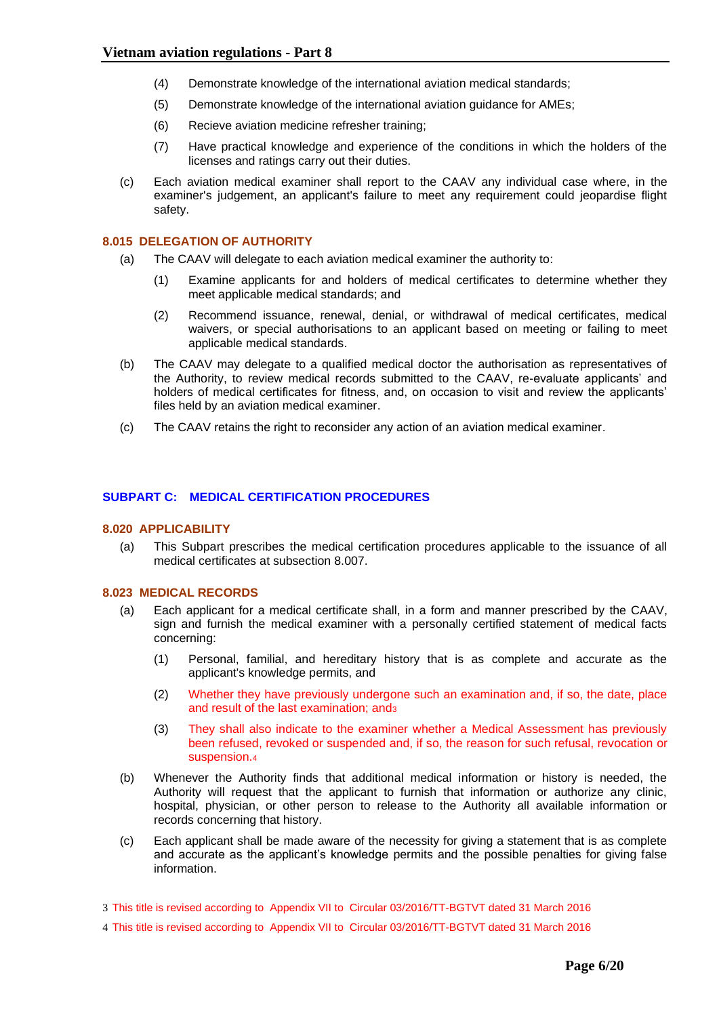- (4) Demonstrate knowledge of the international aviation medical standards;
- (5) Demonstrate knowledge of the international aviation guidance for AMEs;
- (6) Recieve aviation medicine refresher training;
- (7) Have practical knowledge and experience of the conditions in which the holders of the licenses and ratings carry out their duties.
- (c) Each aviation medical examiner shall report to the CAAV any individual case where, in the examiner's judgement, an applicant's failure to meet any requirement could jeopardise flight safety.

### <span id="page-5-0"></span>**8.015 DELEGATION OF AUTHORITY**

- (a) The CAAV will delegate to each aviation medical examiner the authority to:
	- (1) Examine applicants for and holders of medical certificates to determine whether they meet applicable medical standards; and
	- (2) Recommend issuance, renewal, denial, or withdrawal of medical certificates, medical waivers, or special authorisations to an applicant based on meeting or failing to meet applicable medical standards.
- (b) The CAAV may delegate to a qualified medical doctor the authorisation as representatives of the Authority, to review medical records submitted to the CAAV, re-evaluate applicants' and holders of medical certificates for fitness, and, on occasion to visit and review the applicants' files held by an aviation medical examiner.
- (c) The CAAV retains the right to reconsider any action of an aviation medical examiner.

## <span id="page-5-2"></span><span id="page-5-1"></span>**SUBPART C: MEDICAL CERTIFICATION PROCEDURES**

### **8.020 APPLICABILITY**

(a) This Subpart prescribes the medical certification procedures applicable to the issuance of all medical certificates at subsection 8.007.

### <span id="page-5-3"></span>**8.023 MEDICAL RECORDS**

- (a) Each applicant for a medical certificate shall, in a form and manner prescribed by the CAAV, sign and furnish the medical examiner with a personally certified statement of medical facts concerning:
	- (1) Personal, familial, and hereditary history that is as complete and accurate as the applicant's knowledge permits, and
	- (2) Whether they have previously undergone such an examination and, if so, the date, place and result of the last examination; and 3
	- (3) They shall also indicate to the examiner whether a Medical Assessment has previously been refused, revoked or suspended and, if so, the reason for such refusal, revocation or suspension.<sup>4</sup>
- (b) Whenever the Authority finds that additional medical information or history is needed, the Authority will request that the applicant to furnish that information or authorize any clinic, hospital, physician, or other person to release to the Authority all available information or records concerning that history.
- (c) Each applicant shall be made aware of the necessity for giving a statement that is as complete and accurate as the applicant's knowledge permits and the possible penalties for giving false information.
- 3 This title is revised according to Appendix VII to Circular 03/2016/TT-BGTVT dated 31 March 2016
- 4 This title is revised according to Appendix VII to Circular 03/2016/TT-BGTVT dated 31 March 2016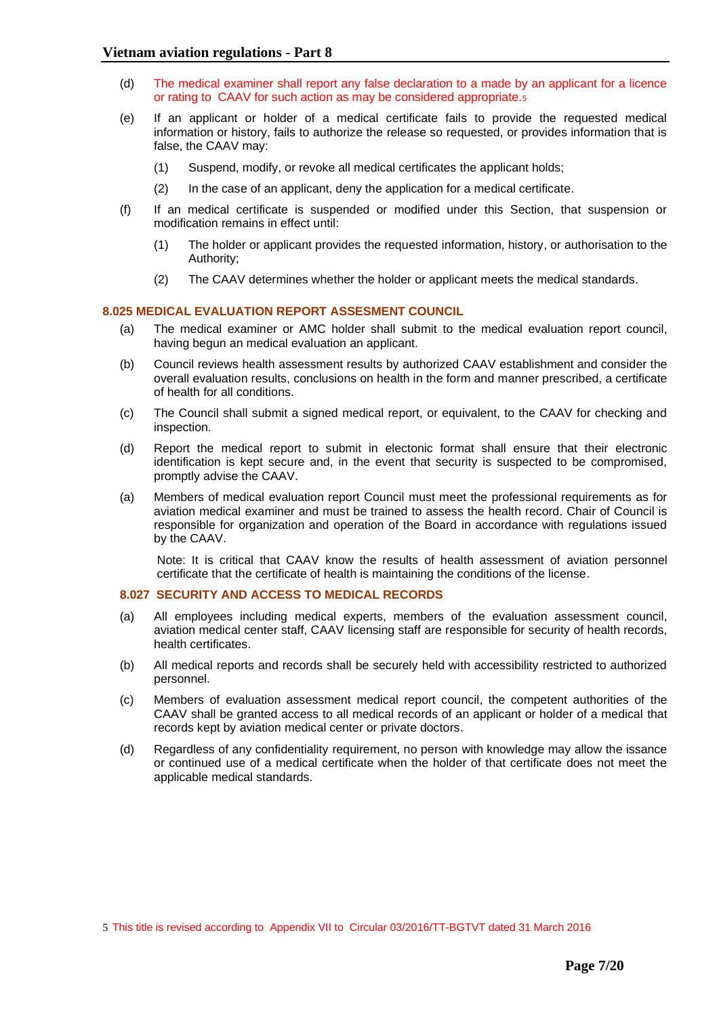- (d) The medical examiner shall report any false declaration to a made by an applicant for a licence or rating to CAAV for such action as may be considered appropriate.<sup>5</sup>
- (e) If an applicant or holder of a medical certificate fails to provide the requested medical information or history, fails to authorize the release so requested, or provides information that is false, the CAAV may:
	- (1) Suspend, modify, or revoke all medical certificates the applicant holds;
	- (2) In the case of an applicant, deny the application for a medical certificate.
- (f) If an medical certificate is suspended or modified under this Section, that suspension or modification remains in effect until:
	- (1) The holder or applicant provides the requested information, history, or authorisation to the Authority;
	- (2) The CAAV determines whether the holder or applicant meets the medical standards.

## <span id="page-6-0"></span>**8.025 MEDICAL EVALUATION REPORT ASSESMENT COUNCIL**

- (a) The medical examiner or AMC holder shall submit to the medical evaluation report council, having begun an medical evaluation an applicant.
- (b) Council reviews health assessment results by authorized CAAV establishment and consider the overall evaluation results, conclusions on health in the form and manner prescribed, a certificate of health for all conditions.
- (c) The Council shall submit a signed medical report, or equivalent, to the CAAV for checking and inspection.
- (d) Report the medical report to submit in electonic format shall ensure that their electronic identification is kept secure and, in the event that security is suspected to be compromised, promptly advise the CAAV.
- (a) Members of medical evaluation report Council must meet the professional requirements as for aviation medical examiner and must be trained to assess the health record. Chair of Council is responsible for organization and operation of the Board in accordance with regulations issued by the CAAV.

Note: It is critical that CAAV know the results of health assessment of aviation personnel certificate that the certificate of health is maintaining the conditions of the license.

### **8.027 SECURITY AND ACCESS TO MEDICAL RECORDS**

- (a) All employees including medical experts, members of the evaluation assessment council, aviation medical center staff, CAAV licensing staff are responsible for security of health records, health certificates.
- (b) All medical reports and records shall be securely held with accessibility restricted to authorized personnel.
- (c) Members of evaluation assessment medical report council, the competent authorities of the CAAV shall be granted access to all medical records of an applicant or holder of a medical that records kept by aviation medical center or private doctors.
- (d) Regardless of any confidentiality requirement, no person with knowledge may allow the issance or continued use of a medical certificate when the holder of that certificate does not meet the applicable medical standards.

<sup>5</sup> This title is revised according to Appendix VII to Circular 03/2016/TT-BGTVT dated 31 March 2016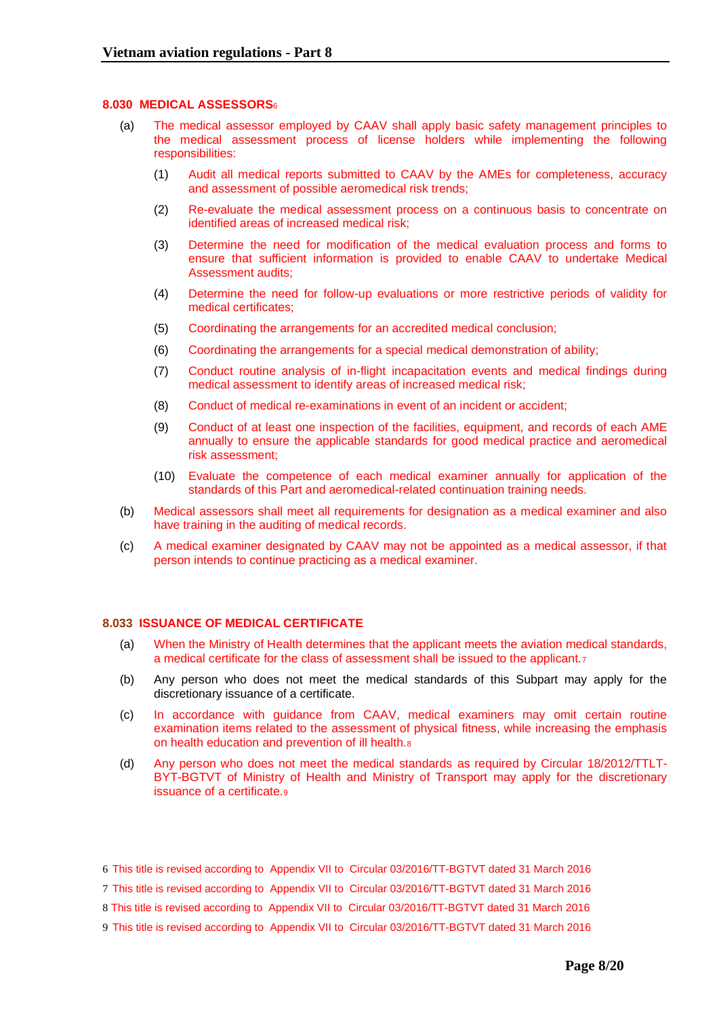### **8.030 MEDICAL ASSESSORS**<sup>6</sup>

- (a) The medical assessor employed by CAAV shall apply basic safety management principles to the medical assessment process of license holders while implementing the following responsibilities:
	- (1) Audit all medical reports submitted to CAAV by the AMEs for completeness, accuracy and assessment of possible aeromedical risk trends;
	- (2) Re-evaluate the medical assessment process on a continuous basis to concentrate on identified areas of increased medical risk;
	- (3) Determine the need for modification of the medical evaluation process and forms to ensure that sufficient information is provided to enable CAAV to undertake Medical Assessment audits;
	- (4) Determine the need for follow-up evaluations or more restrictive periods of validity for medical certificates;
	- (5) Coordinating the arrangements for an accredited medical conclusion;
	- (6) Coordinating the arrangements for a special medical demonstration of ability;
	- (7) Conduct routine analysis of in-flight incapacitation events and medical findings during medical assessment to identify areas of increased medical risk;
	- (8) Conduct of medical re-examinations in event of an incident or accident;
	- (9) Conduct of at least one inspection of the facilities, equipment, and records of each AME annually to ensure the applicable standards for good medical practice and aeromedical risk assessment;
	- (10) Evaluate the competence of each medical examiner annually for application of the standards of this Part and aeromedical-related continuation training needs.
- (b) Medical assessors shall meet all requirements for designation as a medical examiner and also have training in the auditing of medical records.
- (c) A medical examiner designated by CAAV may not be appointed as a medical assessor, if that person intends to continue practicing as a medical examiner.

## **8.033 ISSUANCE OF MEDICAL CERTIFICATE**

- (a) When the Ministry of Health determines that the applicant meets the aviation medical standards, a medical certificate for the class of assessment shall be issued to the applicant.<sup>7</sup>
- (b) Any person who does not meet the medical standards of this Subpart may apply for the discretionary issuance of a certificate.
- (c) In accordance with guidance from CAAV, medical examiners may omit certain routine examination items related to the assessment of physical fitness, while increasing the emphasis on health education and prevention of ill health.<sup>8</sup>
- (d) Any person who does not meet the medical standards as required by Circular 18/2012/TTLT-BYT-BGTVT of Ministry of Health and Ministry of Transport may apply for the discretionary issuance of a certificate.<sup>9</sup>
- 6 This title is revised according to Appendix VII to Circular 03/2016/TT-BGTVT dated 31 March 2016
- 7 This title is revised according to Appendix VII to Circular 03/2016/TT-BGTVT dated 31 March 2016
- 8 This title is revised according to Appendix VII to Circular 03/2016/TT-BGTVT dated 31 March 2016
- 9 This title is revised according to Appendix VII to Circular 03/2016/TT-BGTVT dated 31 March 2016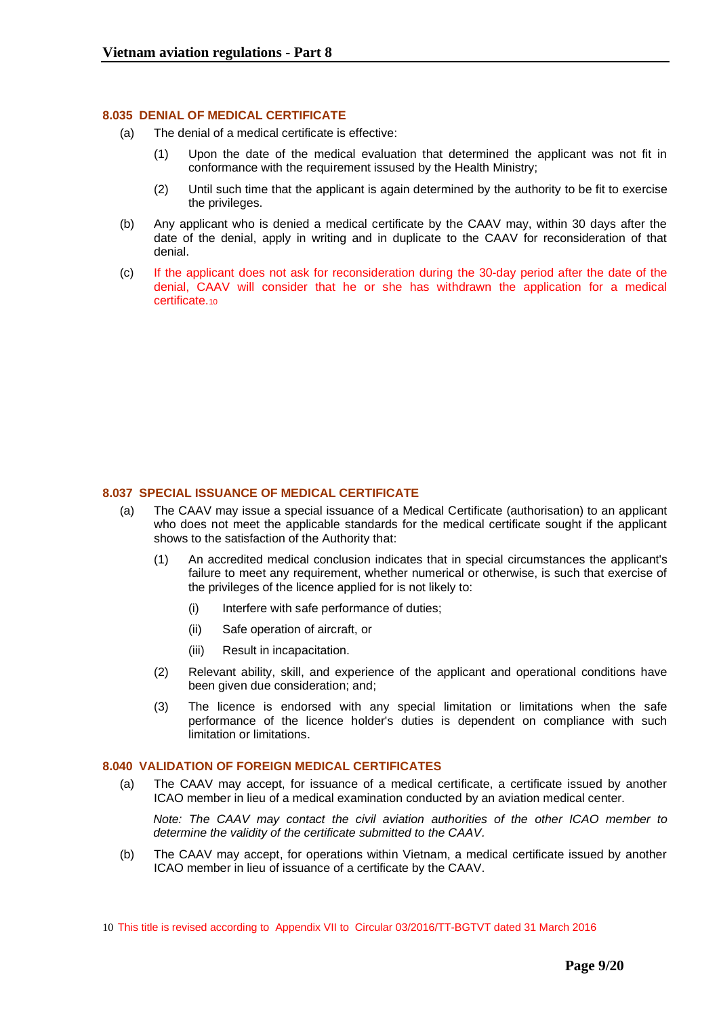### <span id="page-8-0"></span>**8.035 DENIAL OF MEDICAL CERTIFICATE**

- (a) The denial of a medical certificate is effective:
	- (1) Upon the date of the medical evaluation that determined the applicant was not fit in conformance with the requirement issused by the Health Ministry;
	- (2) Until such time that the applicant is again determined by the authority to be fit to exercise the privileges.
- (b) Any applicant who is denied a medical certificate by the CAAV may, within 30 days after the date of the denial, apply in writing and in duplicate to the CAAV for reconsideration of that denial.
- (c) If the applicant does not ask for reconsideration during the 30-day period after the date of the denial, CAAV will consider that he or she has withdrawn the application for a medical certificate.<sup>10</sup>

## <span id="page-8-1"></span>**8.037 SPECIAL ISSUANCE OF MEDICAL CERTIFICATE**

- (a) The CAAV may issue a special issuance of a Medical Certificate (authorisation) to an applicant who does not meet the applicable standards for the medical certificate sought if the applicant shows to the satisfaction of the Authority that:
	- (1) An accredited medical conclusion indicates that in special circumstances the applicant's failure to meet any requirement, whether numerical or otherwise, is such that exercise of the privileges of the licence applied for is not likely to:
		- (i) Interfere with safe performance of duties;
		- (ii) Safe operation of aircraft, or
		- (iii) Result in incapacitation.
	- (2) Relevant ability, skill, and experience of the applicant and operational conditions have been given due consideration; and;
	- (3) The licence is endorsed with any special limitation or limitations when the safe performance of the licence holder's duties is dependent on compliance with such limitation or limitations.

### <span id="page-8-2"></span>**8.040 VALIDATION OF FOREIGN MEDICAL CERTIFICATES**

(a) The CAAV may accept, for issuance of a medical certificate, a certificate issued by another ICAO member in lieu of a medical examination conducted by an aviation medical center.

*Note: The CAAV may contact the civil aviation authorities of the other ICAO member to determine the validity of the certificate submitted to the CAAV.*

(b) The CAAV may accept, for operations within Vietnam, a medical certificate issued by another ICAO member in lieu of issuance of a certificate by the CAAV.

<sup>10</sup> This title is revised according to Appendix VII to Circular 03/2016/TT-BGTVT dated 31 March 2016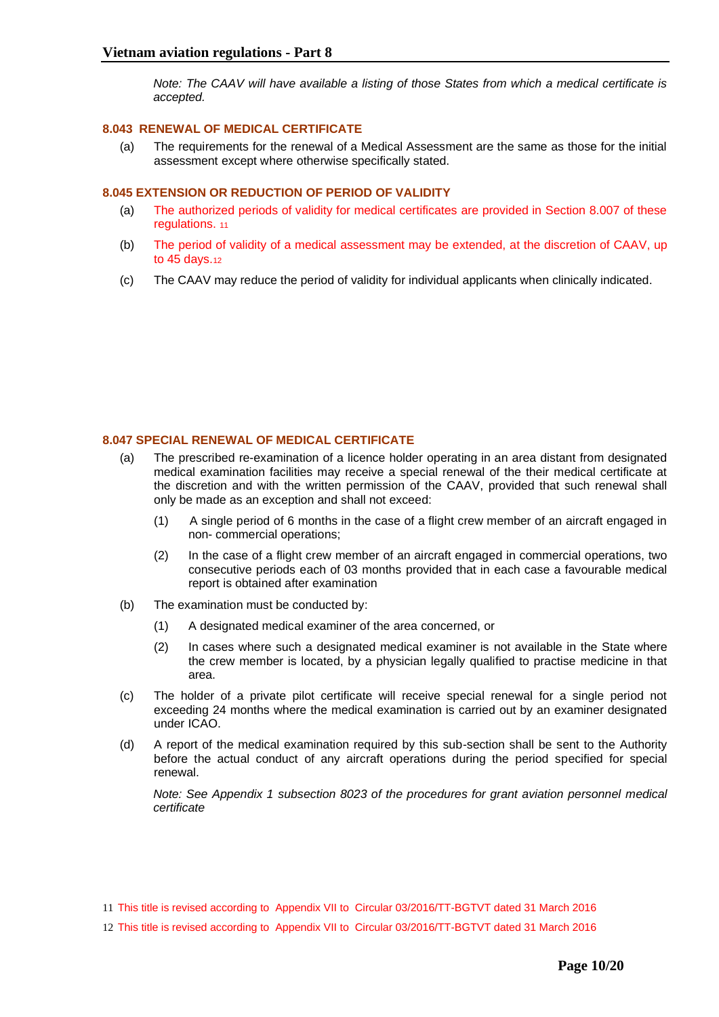*Note: The CAAV will have available a listing of those States from which a medical certificate is accepted.*

## <span id="page-9-0"></span>**8.043 RENEWAL OF MEDICAL CERTIFICATE**

(a) The requirements for the renewal of a Medical Assessment are the same as those for the initial assessment except where otherwise specifically stated.

## <span id="page-9-1"></span>**8.045 EXTENSION OR REDUCTION OF PERIOD OF VALIDITY**

- (a) The authorized periods of validity for medical certificates are provided in Section 8.007 of these regulations. 11
- (b) The period of validity of a medical assessment may be extended, at the discretion of CAAV, up to 45 days.<sup>12</sup>
- (c) The CAAV may reduce the period of validity for individual applicants when clinically indicated.

## <span id="page-9-2"></span>**8.047 SPECIAL RENEWAL OF MEDICAL CERTIFICATE**

- (a) The prescribed re-examination of a licence holder operating in an area distant from designated medical examination facilities may receive a special renewal of the their medical certificate at the discretion and with the written permission of the CAAV, provided that such renewal shall only be made as an exception and shall not exceed:
	- (1) A single period of 6 months in the case of a flight crew member of an aircraft engaged in non- commercial operations;
	- (2) In the case of a flight crew member of an aircraft engaged in commercial operations, two consecutive periods each of 03 months provided that in each case a favourable medical report is obtained after examination
- (b) The examination must be conducted by:
	- (1) A designated medical examiner of the area concerned, or
	- (2) In cases where such a designated medical examiner is not available in the State where the crew member is located, by a physician legally qualified to practise medicine in that area.
- (c) The holder of a private pilot certificate will receive special renewal for a single period not exceeding 24 months where the medical examination is carried out by an examiner designated under ICAO.
- (d) A report of the medical examination required by this sub-section shall be sent to the Authority before the actual conduct of any aircraft operations during the period specified for special renewal.

*Note: See Appendix 1 subsection 8023 of the procedures for grant aviation personnel medical certificate*

- 11 This title is revised according to Appendix VII to Circular 03/2016/TT-BGTVT dated 31 March 2016
- 12 This title is revised according to Appendix VII to Circular 03/2016/TT-BGTVT dated 31 March 2016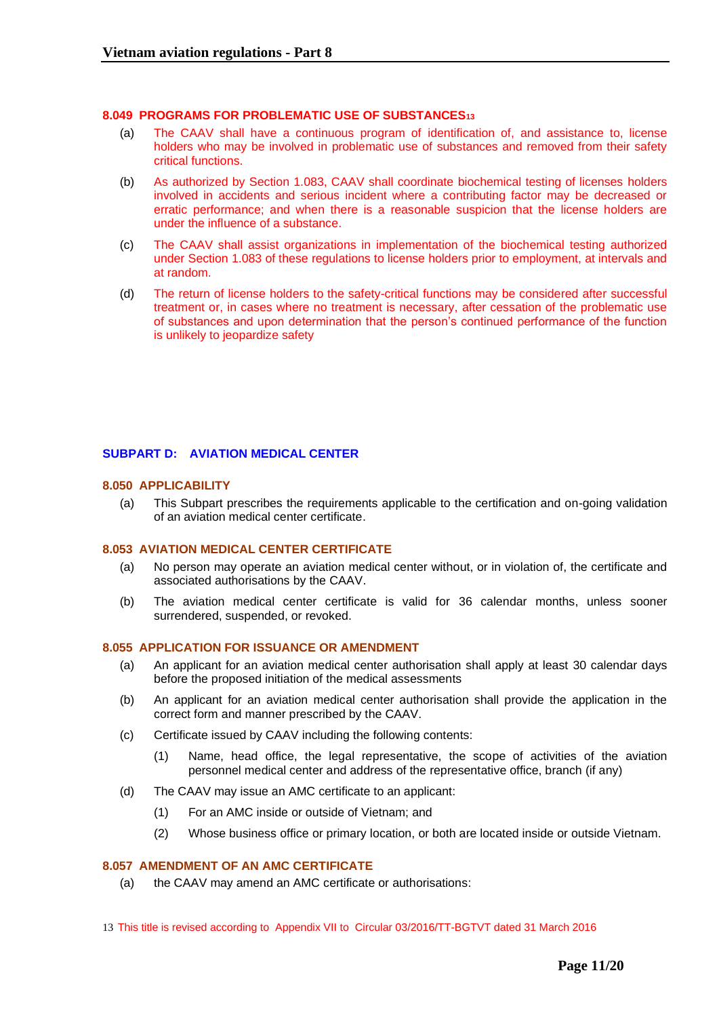### <span id="page-10-0"></span>**8.049 PROGRAMS FOR PROBLEMATIC USE OF SUBSTANCES<sup>13</sup>**

- (a) The CAAV shall have a continuous program of identification of, and assistance to, license holders who may be involved in problematic use of substances and removed from their safety critical functions.
- (b) As authorized by Section 1.083, CAAV shall coordinate biochemical testing of licenses holders involved in accidents and serious incident where a contributing factor may be decreased or erratic performance; and when there is a reasonable suspicion that the license holders are under the influence of a substance.
- (c) The CAAV shall assist organizations in implementation of the biochemical testing authorized under Section 1.083 of these regulations to license holders prior to employment, at intervals and at random.
- (d) The return of license holders to the safety-critical functions may be considered after successful treatment or, in cases where no treatment is necessary, after cessation of the problematic use of substances and upon determination that the person's continued performance of the function is unlikely to jeopardize safety

## <span id="page-10-2"></span><span id="page-10-1"></span>**SUBPART D: AVIATION MEDICAL CENTER**

### **8.050 APPLICABILITY**

(a) This Subpart prescribes the requirements applicable to the certification and on-going validation of an aviation medical center certificate.

### <span id="page-10-3"></span>**8.053 AVIATION MEDICAL CENTER CERTIFICATE**

- (a) No person may operate an aviation medical center without, or in violation of, the certificate and associated authorisations by the CAAV.
- (b) The aviation medical center certificate is valid for 36 calendar months, unless sooner surrendered, suspended, or revoked.

#### <span id="page-10-4"></span>**8.055 APPLICATION FOR ISSUANCE OR AMENDMENT**

- (a) An applicant for an aviation medical center authorisation shall apply at least 30 calendar days before the proposed initiation of the medical assessments
- (b) An applicant for an aviation medical center authorisation shall provide the application in the correct form and manner prescribed by the CAAV.
- (c) Certificate issued by CAAV including the following contents:
	- (1) Name, head office, the legal representative, the scope of activities of the aviation personnel medical center and address of the representative office, branch (if any)
- (d) The CAAV may issue an AMC certificate to an applicant:
	- (1) For an AMC inside or outside of Vietnam; and
	- (2) Whose business office or primary location, or both are located inside or outside Vietnam.

## <span id="page-10-5"></span>**8.057 AMENDMENT OF AN AMC CERTIFICATE**

- (a) the CAAV may amend an AMC certificate or authorisations:
- 13 This title is revised according to Appendix VII to Circular 03/2016/TT-BGTVT dated 31 March 2016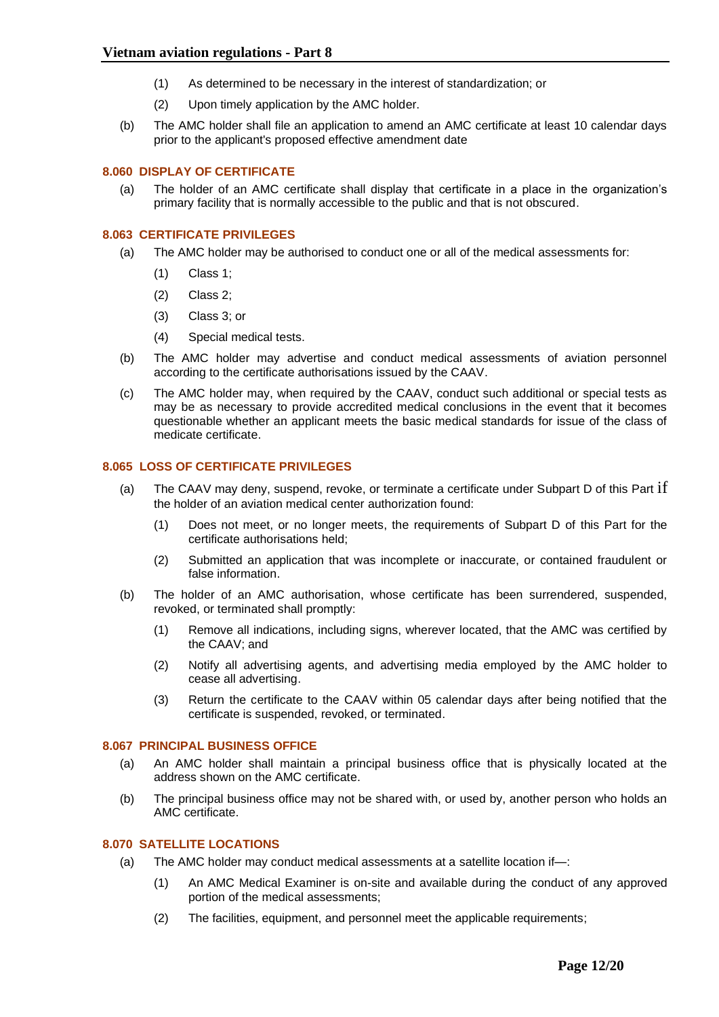- (1) As determined to be necessary in the interest of standardization; or
- (2) Upon timely application by the AMC holder.
- (b) The AMC holder shall file an application to amend an AMC certificate at least 10 calendar days prior to the applicant's proposed effective amendment date

## <span id="page-11-0"></span>**8.060 DISPLAY OF CERTIFICATE**

(a) The holder of an AMC certificate shall display that certificate in a place in the organization's primary facility that is normally accessible to the public and that is not obscured.

## <span id="page-11-1"></span>**8.063 CERTIFICATE PRIVILEGES**

- (a) The AMC holder may be authorised to conduct one or all of the medical assessments for:
	- (1) Class 1;
	- (2) Class 2;
	- (3) Class 3; or
	- (4) Special medical tests.
- (b) The AMC holder may advertise and conduct medical assessments of aviation personnel according to the certificate authorisations issued by the CAAV.
- (c) The AMC holder may, when required by the CAAV, conduct such additional or special tests as may be as necessary to provide accredited medical conclusions in the event that it becomes questionable whether an applicant meets the basic medical standards for issue of the class of medicate certificate.

## <span id="page-11-2"></span>**8.065 LOSS OF CERTIFICATE PRIVILEGES**

- (a) The CAAV may deny, suspend, revoke, or terminate a certificate under Subpart D of this Part  $\overline{if}$ the holder of an aviation medical center authorization found:
	- (1) Does not meet, or no longer meets, the requirements of Subpart D of this Part for the certificate authorisations held;
	- (2) Submitted an application that was incomplete or inaccurate, or contained fraudulent or false information.
- (b) The holder of an AMC authorisation, whose certificate has been surrendered, suspended, revoked, or terminated shall promptly:
	- (1) Remove all indications, including signs, wherever located, that the AMC was certified by the CAAV; and
	- (2) Notify all advertising agents, and advertising media employed by the AMC holder to cease all advertising.
	- (3) Return the certificate to the CAAV within 05 calendar days after being notified that the certificate is suspended, revoked, or terminated.

### <span id="page-11-3"></span>**8.067 PRINCIPAL BUSINESS OFFICE**

- (a) An AMC holder shall maintain a principal business office that is physically located at the address shown on the AMC certificate.
- (b) The principal business office may not be shared with, or used by, another person who holds an AMC certificate.

## <span id="page-11-4"></span>**8.070 SATELLITE LOCATIONS**

- (a) The AMC holder may conduct medical assessments at a satellite location if—:
	- (1) An AMC Medical Examiner is on-site and available during the conduct of any approved portion of the medical assessments;
	- (2) The facilities, equipment, and personnel meet the applicable requirements;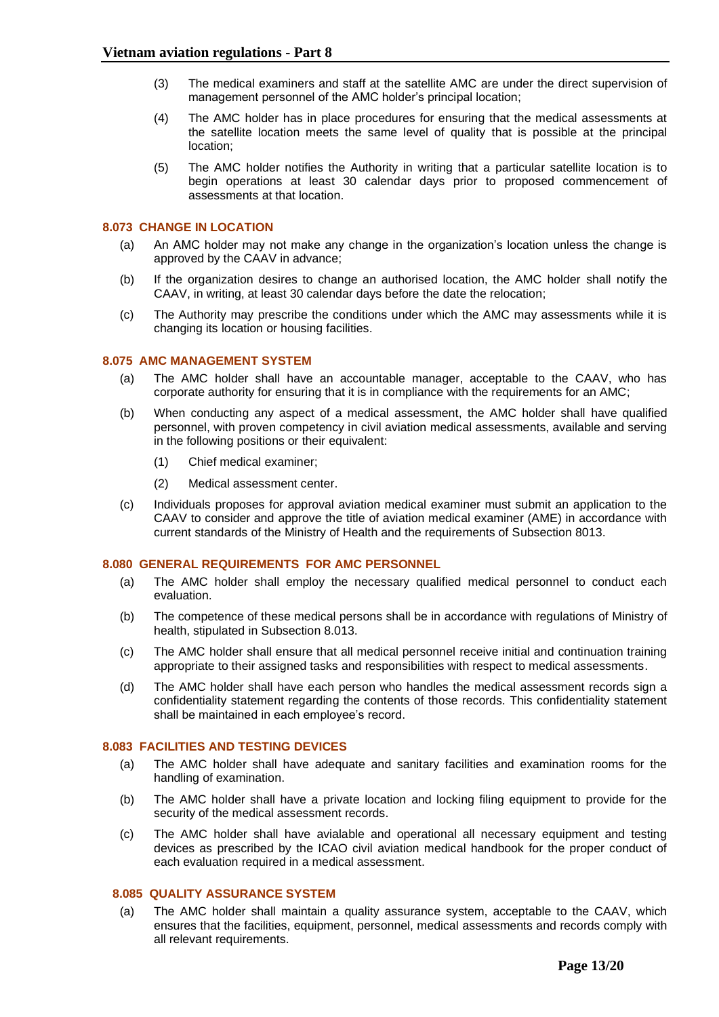- (3) The medical examiners and staff at the satellite AMC are under the direct supervision of management personnel of the AMC holder's principal location;
- (4) The AMC holder has in place procedures for ensuring that the medical assessments at the satellite location meets the same level of quality that is possible at the principal location;
- (5) The AMC holder notifies the Authority in writing that a particular satellite location is to begin operations at least 30 calendar days prior to proposed commencement of assessments at that location.

## <span id="page-12-0"></span>**8.073 CHANGE IN LOCATION**

- (a) An AMC holder may not make any change in the organization's location unless the change is approved by the CAAV in advance;
- (b) If the organization desires to change an authorised location, the AMC holder shall notify the CAAV, in writing, at least 30 calendar days before the date the relocation;
- (c) The Authority may prescribe the conditions under which the AMC may assessments while it is changing its location or housing facilities.

## <span id="page-12-1"></span>**8.075 AMC MANAGEMENT SYSTEM**

- (a) The AMC holder shall have an accountable manager, acceptable to the CAAV, who has corporate authority for ensuring that it is in compliance with the requirements for an AMC;
- (b) When conducting any aspect of a medical assessment, the AMC holder shall have qualified personnel, with proven competency in civil aviation medical assessments, available and serving in the following positions or their equivalent:
	- (1) Chief medical examiner;
	- (2) Medical assessment center.
- (c) Individuals proposes for approval aviation medical examiner must submit an application to the CAAV to consider and approve the title of aviation medical examiner (AME) in accordance with current standards of the Ministry of Health and the requirements of Subsection 8013.

### <span id="page-12-2"></span>**8.080 GENERAL REQUIREMENTS FOR AMC PERSONNEL**

- (a) The AMC holder shall employ the necessary qualified medical personnel to conduct each evaluation.
- (b) The competence of these medical persons shall be in accordance with regulations of Ministry of health, stipulated in Subsection 8.013.
- (c) The AMC holder shall ensure that all medical personnel receive initial and continuation training appropriate to their assigned tasks and responsibilities with respect to medical assessments.
- (d) The AMC holder shall have each person who handles the medical assessment records sign a confidentiality statement regarding the contents of those records. This confidentiality statement shall be maintained in each employee's record.

## <span id="page-12-3"></span>**8.083 FACILITIES AND TESTING DEVICES**

- (a) The AMC holder shall have adequate and sanitary facilities and examination rooms for the handling of examination.
- (b) The AMC holder shall have a private location and locking filing equipment to provide for the security of the medical assessment records.
- (c) The AMC holder shall have avialable and operational all necessary equipment and testing devices as prescribed by the ICAO civil aviation medical handbook for the proper conduct of each evaluation required in a medical assessment.

### <span id="page-12-4"></span> **8.085 QUALITY ASSURANCE SYSTEM**

(a) The AMC holder shall maintain a quality assurance system, acceptable to the CAAV, which ensures that the facilities, equipment, personnel, medical assessments and records comply with all relevant requirements.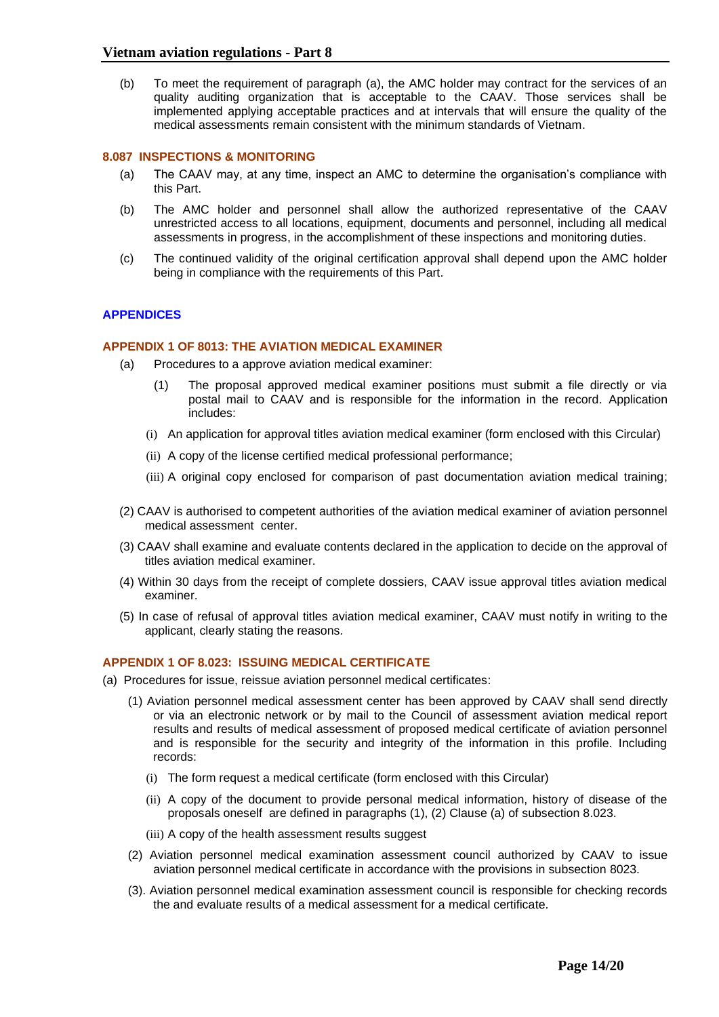(b) To meet the requirement of paragraph (a), the AMC holder may contract for the services of an quality auditing organization that is acceptable to the CAAV. Those services shall be implemented applying acceptable practices and at intervals that will ensure the quality of the medical assessments remain consistent with the minimum standards of Vietnam.

## <span id="page-13-0"></span>**8.087 INSPECTIONS & MONITORING**

- (a) The CAAV may, at any time, inspect an AMC to determine the organisation's compliance with this Part.
- (b) The AMC holder and personnel shall allow the authorized representative of the CAAV unrestricted access to all locations, equipment, documents and personnel, including all medical assessments in progress, in the accomplishment of these inspections and monitoring duties.
- (c) The continued validity of the original certification approval shall depend upon the AMC holder being in compliance with the requirements of this Part.

## <span id="page-13-2"></span><span id="page-13-1"></span>**APPENDICES**

### **APPENDIX 1 OF 8013: THE AVIATION MEDICAL EXAMINER**

- (a) Procedures to a approve aviation medical examiner:
	- (1) The proposal approved medical examiner positions must submit a file directly or via postal mail to CAAV and is responsible for the information in the record. Application includes:
	- (i) An application for approval titles aviation medical examiner (form enclosed with this Circular)
	- (ii) A copy of the license certified medical professional performance;
	- (iii) A original copy enclosed for comparison of past documentation aviation medical training;
- (2) CAAV is authorised to competent authorities of the aviation medical examiner of aviation personnel medical assessment center.
- (3) CAAV shall examine and evaluate contents declared in the application to decide on the approval of titles aviation medical examiner.
- (4) Within 30 days from the receipt of complete dossiers, CAAV issue approval titles aviation medical examiner.
- (5) In case of refusal of approval titles aviation medical examiner, CAAV must notify in writing to the applicant, clearly stating the reasons.

### <span id="page-13-3"></span>**APPENDIX 1 OF 8.023: ISSUING MEDICAL CERTIFICATE**

- (a) Procedures for issue, reissue aviation personnel medical certificates:
	- (1) Aviation personnel medical assessment center has been approved by CAAV shall send directly or via an electronic network or by mail to the Council of assessment aviation medical report results and results of medical assessment of proposed medical certificate of aviation personnel and is responsible for the security and integrity of the information in this profile. Including records:
		- (i) The form request a medical certificate (form enclosed with this Circular)
		- (ii) A copy of the document to provide personal medical information, history of disease of the proposals oneself are defined in paragraphs (1), (2) Clause (a) of subsection 8.023.
		- (iii) A copy of the health assessment results suggest
	- (2) Aviation personnel medical examination assessment council authorized by CAAV to issue aviation personnel medical certificate in accordance with the provisions in subsection 8023.
	- (3). Aviation personnel medical examination assessment council is responsible for checking records the and evaluate results of a medical assessment for a medical certificate.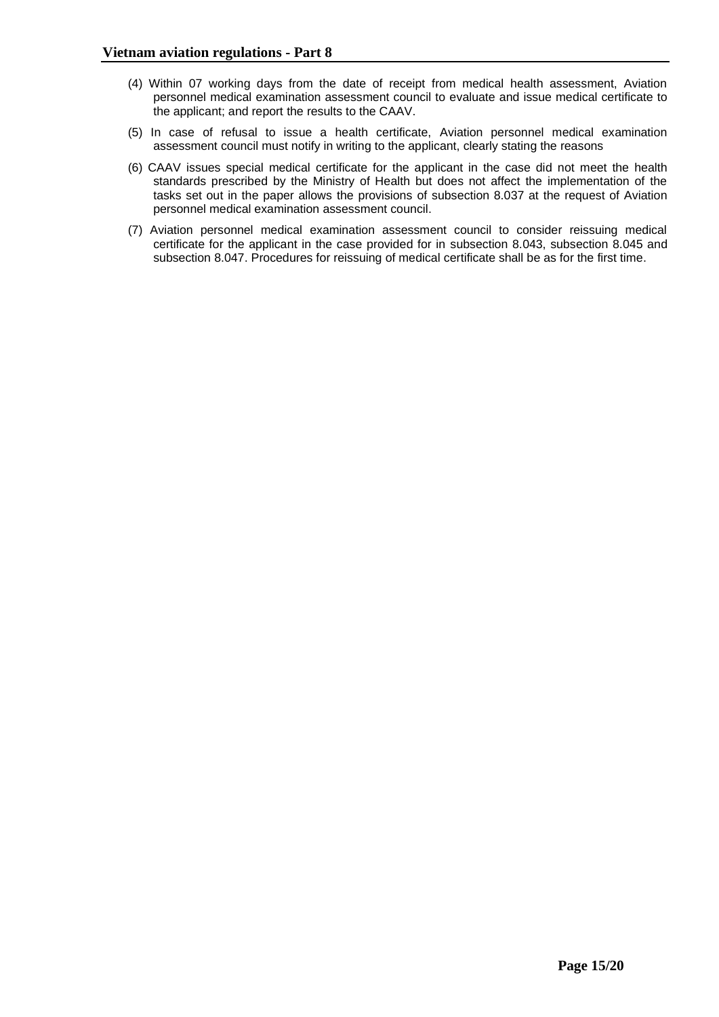- (4) Within 07 working days from the date of receipt from medical health assessment, Aviation personnel medical examination assessment council to evaluate and issue medical certificate to the applicant; and report the results to the CAAV.
- (5) In case of refusal to issue a health certificate, Aviation personnel medical examination assessment council must notify in writing to the applicant, clearly stating the reasons
- (6) CAAV issues special medical certificate for the applicant in the case did not meet the health standards prescribed by the Ministry of Health but does not affect the implementation of the tasks set out in the paper allows the provisions of subsection 8.037 at the request of Aviation personnel medical examination assessment council.
- (7) Aviation personnel medical examination assessment council to consider reissuing medical certificate for the applicant in the case provided for in subsection 8.043, subsection 8.045 and subsection 8.047. Procedures for reissuing of medical certificate shall be as for the first time.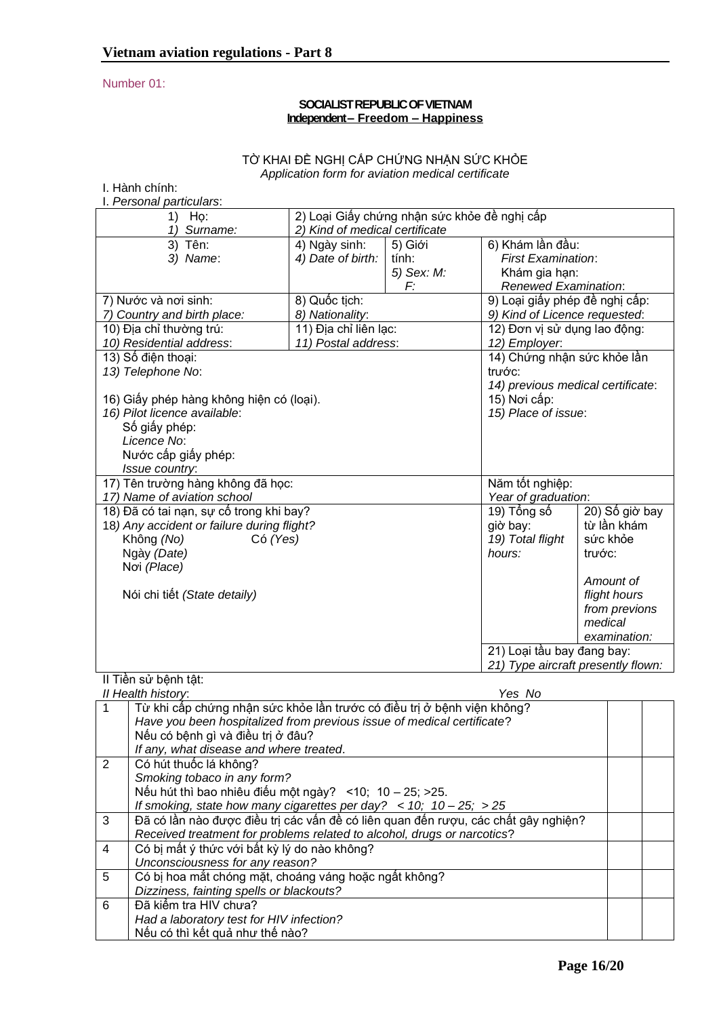## Number 01:

## **SOCIALIST REPUBLIC OF VIETNAM Independent – Freedom – Happiness**

## TỜ KHAI ĐỀ NGHỊ CẤP CHỨNG NHẬN SỨC KHỎE *Application form for aviation medical certificate*

| I. Hành chính:                             |                                                           | auon Tonn Tor aviauon modioar oorunoato |                                    |                |  |
|--------------------------------------------|-----------------------------------------------------------|-----------------------------------------|------------------------------------|----------------|--|
| I. Personal particulars:                   |                                                           |                                         |                                    |                |  |
|                                            | 2) Loại Giấy chứng nhận sức khỏe đề nghị cấp<br>1)<br>Họ: |                                         |                                    |                |  |
| 1) Surname:                                | 2) Kind of medical certificate                            |                                         |                                    |                |  |
| 3) Tên:                                    | 4) Ngày sinh:                                             | 5) Giới                                 | 6) Khám lần đầu:                   |                |  |
| 3) Name:                                   | 4) Date of birth:                                         | tính:                                   | <b>First Examination:</b>          |                |  |
|                                            |                                                           | 5) Sex: M:                              | Khám gia hạn:                      |                |  |
|                                            |                                                           | F:                                      | Renewed Examination:               |                |  |
| 7) Nước và nơi sinh:                       | 8) Quốc tịch:                                             |                                         | 9) Loại giấy phép đề nghị cấp:     |                |  |
| 7) Country and birth place:                | 8) Nationality:                                           |                                         | 9) Kind of Licence requested:      |                |  |
| 10) Địa chỉ thường trú:                    | 11) Địa chỉ liên lạc:                                     |                                         | 12) Đơn vị sử dụng lao động:       |                |  |
| 10) Residential address:                   | 11) Postal address:                                       |                                         | 12) Employer.                      |                |  |
| 13) Số điện thoại:                         |                                                           |                                         | 14) Chứng nhận sức khỏe lần        |                |  |
| 13) Telephone No:                          |                                                           |                                         | trước:                             |                |  |
|                                            |                                                           |                                         | 14) previous medical certificate:  |                |  |
| 16) Giấy phép hàng không hiện có (loại).   |                                                           |                                         | 15) Nơi cấp:                       |                |  |
| 16) Pilot licence available:               |                                                           |                                         | 15) Place of issue:                |                |  |
| Số giấy phép:                              |                                                           |                                         |                                    |                |  |
| Licence No:                                |                                                           |                                         |                                    |                |  |
| Nước cấp giấy phép:                        |                                                           |                                         |                                    |                |  |
| Issue country:                             |                                                           |                                         |                                    |                |  |
| 17) Tên trường hàng không đã học:          |                                                           |                                         | Năm tốt nghiệp:                    |                |  |
| 17) Name of aviation school                |                                                           |                                         | Year of graduation:                |                |  |
| 18) Đã có tai nạn, sự cố trong khi bay?    |                                                           |                                         | 19) Tổng số                        | 20) Số giờ bay |  |
| 18) Any accident or failure during flight? |                                                           |                                         |                                    | từ lần khám    |  |
| Không (No)<br>Có (Yes)                     |                                                           |                                         | 19) Total flight                   | sức khỏe       |  |
| Ngày (Date)                                |                                                           |                                         | hours:                             | trước:         |  |
| Noi (Place)                                |                                                           |                                         |                                    |                |  |
|                                            |                                                           |                                         | Amount of                          |                |  |
| Nói chi tiết (State detaily)               |                                                           |                                         |                                    | flight hours   |  |
|                                            |                                                           |                                         |                                    | from previons  |  |
| medical                                    |                                                           |                                         |                                    |                |  |
|                                            |                                                           |                                         |                                    | examination:   |  |
|                                            |                                                           |                                         | 21) Loại tầu bay đang bay:         |                |  |
|                                            |                                                           |                                         | 21) Type aircraft presently flown: |                |  |
| II Tiền sử bênh tât:                       |                                                           |                                         |                                    |                |  |

|                | II Health history:<br>Yes No                                                       |  |
|----------------|------------------------------------------------------------------------------------|--|
|                | Từ khi cấp chứng nhận sức khỏe lần trước có điều trị ở bệnh viện không?            |  |
|                | Have you been hospitalized from previous issue of medical certificate?             |  |
|                | Nếu có bệnh gì và điều trị ở đâu?                                                  |  |
|                | If any, what disease and where treated.                                            |  |
| $\overline{2}$ | Có hút thuốc lá không?                                                             |  |
|                | Smoking tobaco in any form?                                                        |  |
|                | Nếu hút thì bao nhiêu điếu một ngày? <10; 10 - 25; > 25.                           |  |
|                | If smoking, state how many cigarettes per day? $<$ 10; 10 - 25; > 25               |  |
| 3              | Đã có lần nào được điều trị các vấn đề có liên quan đến rượu, các chất gây nghiên? |  |
|                | Received treatment for problems related to alcohol, drugs or narcotics?            |  |
| 4              | Có bị mất ý thức với bất kỳ lý do nào không?                                       |  |
|                | Unconsciousness for any reason?                                                    |  |
| 5              | Có bị hoa mắt chóng mặt, choáng váng hoặc ngất không?                              |  |
|                | Dizziness, fainting spells or blackouts?                                           |  |
| 6              | Đã kiểm tra HIV chưa?                                                              |  |
|                | Had a laboratory test for HIV infection?                                           |  |
|                | Nếu có thì kết quả như thế nào?                                                    |  |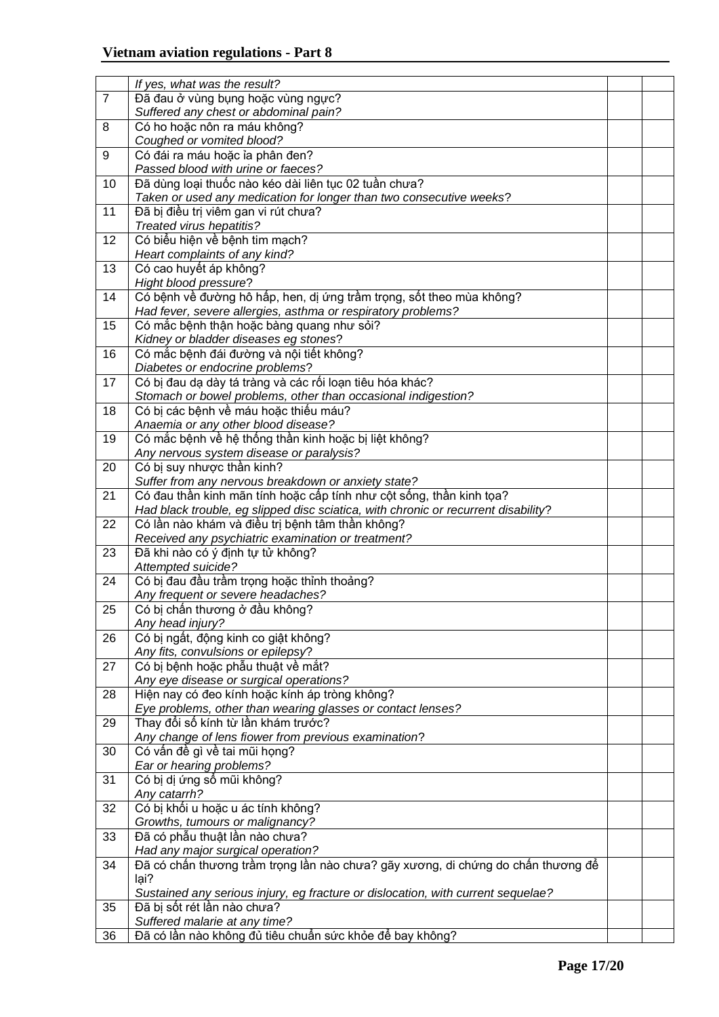|                | If yes, what was the result?                                                                                          |  |
|----------------|-----------------------------------------------------------------------------------------------------------------------|--|
| $\overline{7}$ | Đã đau ở vùng bụng hoặc vùng ngực?                                                                                    |  |
|                | Suffered any chest or abdominal pain?                                                                                 |  |
| 8              | Có ho hoặc nôn ra máu không?                                                                                          |  |
|                | Coughed or vomited blood?                                                                                             |  |
| 9              | Có đái ra máu hoặc ỉa phân đen?                                                                                       |  |
|                | Passed blood with urine or faeces?                                                                                    |  |
| 10             | Đã dùng loại thuốc nào kéo dài liên tục 02 tuần chưa?                                                                 |  |
|                | Taken or used any medication for longer than two consecutive weeks?                                                   |  |
| 11             | Đã bị điều trị viêm gan vi rút chưa?                                                                                  |  |
|                | Treated virus hepatitis?                                                                                              |  |
| 12             | Có biểu hiện về bệnh tim mạch?                                                                                        |  |
|                | Heart complaints of any kind?                                                                                         |  |
| 13             | Có cao huyết áp không?                                                                                                |  |
|                | Hight blood pressure?                                                                                                 |  |
| 14             | Có bệnh về đường hô hấp, hen, dị ứng trầm trọng, sốt theo mùa không?                                                  |  |
|                | Had fever, severe allergies, asthma or respiratory problems?                                                          |  |
| 15             | Có mắc bệnh thận hoặc bàng quang như sỏi?                                                                             |  |
|                | Kidney or bladder diseases eg stones?                                                                                 |  |
| 16             | Có mắc bệnh đái đường và nội tiết không?                                                                              |  |
|                | Diabetes or endocrine problems?                                                                                       |  |
| 17             | Có bị đau dạ dày tá tràng và các rối loạn tiêu hóa khác?                                                              |  |
|                | Stomach or bowel problems, other than occasional indigestion?                                                         |  |
| 18             | Có bị các bệnh về máu hoặc thiếu máu?                                                                                 |  |
|                | Anaemia or any other blood disease?                                                                                   |  |
| 19             | Có mắc bệnh về hệ thống thần kinh hoặc bị liệt không?                                                                 |  |
|                |                                                                                                                       |  |
| 20             | Any nervous system disease or paralysis?<br>Có bị suy nhược thần kinh?                                                |  |
|                |                                                                                                                       |  |
|                | Suffer from any nervous breakdown or anxiety state?                                                                   |  |
| 21             | Có đau thần kinh mãn tính hoặc cấp tính như cột sống, thần kinh tọa?                                                  |  |
|                | Had black trouble, eg slipped disc sciatica, with chronic or recurrent disability?                                    |  |
| 22             | Có lần nào khám và điều trị bệnh tâm thần không?                                                                      |  |
|                | Received any psychiatric examination or treatment?                                                                    |  |
| 23             | Đã khi nào có ý định tự tử không?                                                                                     |  |
| 24             | Attempted suicide?                                                                                                    |  |
|                | Có bị đau đầu trầm trọng hoặc thỉnh thoảng?                                                                           |  |
| 25             | Any frequent or severe headaches?<br>Có bị chấn thương ở đầu không?                                                   |  |
|                |                                                                                                                       |  |
|                | Any head injury?<br>Có bị ngất, động kinh co giật không?                                                              |  |
| 26             |                                                                                                                       |  |
|                | Any fits, convulsions or epilepsy?                                                                                    |  |
| 27             | Có bị bệnh hoặc phẫu thuật về mắt?                                                                                    |  |
|                | Any eye disease or surgical operations?                                                                               |  |
| 28             | Hiện nay có đeo kính hoặc kính áp tròng không?<br>Eye problems, other than wearing glasses or contact lenses?         |  |
|                | Thay đổi số kính từ lần khám trước?                                                                                   |  |
| 29             | Any change of lens fiower from previous examination?                                                                  |  |
|                | Có vấn đề gì về tai mũi họng?                                                                                         |  |
| 30             |                                                                                                                       |  |
|                | Ear or hearing problems?<br>Có bị dị ứng sổ mũi không?                                                                |  |
| 31             | Any catarrh?                                                                                                          |  |
|                | Có bị khối u hoặc u ác tính không?                                                                                    |  |
| 32             |                                                                                                                       |  |
| 33             | Growths, tumours or malignancy?<br>Đã có phẫu thuật lần nào chưa?                                                     |  |
|                |                                                                                                                       |  |
|                | Had any major surgical operation?<br>Đã có chấn thương trầm trọng lần nào chưa? gãy xương, di chứng do chấn thương để |  |
| 34             | lại?                                                                                                                  |  |
|                |                                                                                                                       |  |
| 35             | Sustained any serious injury, eg fracture or dislocation, with current sequelae?<br>Đã bị sốt rét lần nào chưa?       |  |
|                | Suffered malarie at any time?                                                                                         |  |
| 36             | Đã có lần nào không đủ tiêu chuẩn sức khỏe để bay không?                                                              |  |
|                |                                                                                                                       |  |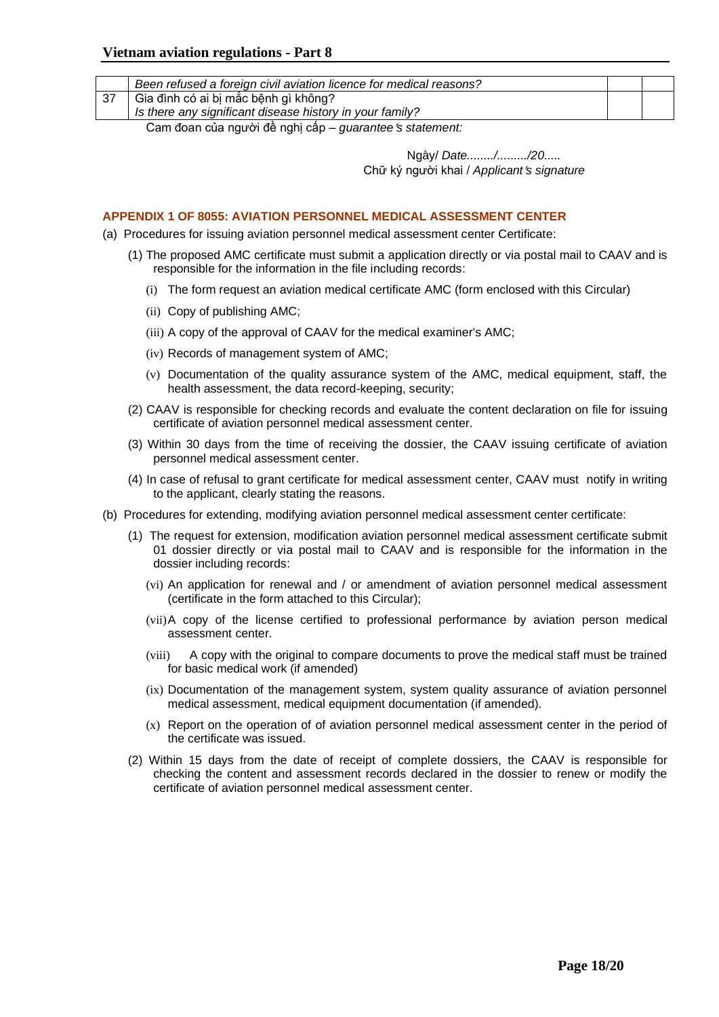|    | Been refused a foreign civil aviation licence for medical reasons? |  |
|----|--------------------------------------------------------------------|--|
| דפ | Gia đình có ai bị mắc bệnh gì không?                               |  |
|    | Is there any significant disease history in your family?           |  |
|    |                                                                    |  |

Cam đoan của người đề nghị cấp – *guarantees statement:*

Ngày/ *Date......../........./20.....* Chữ ký người khai / *Applicants signature*

### <span id="page-17-0"></span>**APPENDIX 1 OF 8055: AVIATION PERSONNEL MEDICAL ASSESSMENT CENTER**

- (a) Procedures for issuing aviation personnel medical assessment center Certificate:
	- (1) The proposed AMC certificate must submit a application directly or via postal mail to CAAV and is responsible for the information in the file including records:
		- (i) The form request an aviation medical certificate AMC (form enclosed with this Circular)
		- (ii) Copy of publishing AMC;
		- (iii) A copy of the approval of CAAV for the medical examiner's AMC;
		- (iv) Records of management system of AMC;
		- (v) Documentation of the quality assurance system of the AMC, medical equipment, staff, the health assessment, the data record-keeping, security;
	- (2) CAAV is responsible for checking records and evaluate the content declaration on file for issuing certificate of aviation personnel medical assessment center.
	- (3) Within 30 days from the time of receiving the dossier, the CAAV issuing certificate of aviation personnel medical assessment center.
	- (4) In case of refusal to grant certificate for medical assessment center, CAAV must notify in writing to the applicant, clearly stating the reasons.
- (b) Procedures for extending, modifying aviation personnel medical assessment center certificate:
	- (1) The request for extension, modification aviation personnel medical assessment certificate submit 01 dossier directly or via postal mail to CAAV and is responsible for the information in the dossier including records:
		- (vi) An application for renewal and / or amendment of aviation personnel medical assessment (certificate in the form attached to this Circular);
		- (vii)A copy of the license certified to professional performance by aviation person medical assessment center.
		- (viii) A copy with the original to compare documents to prove the medical staff must be trained for basic medical work (if amended)
		- (ix) Documentation of the management system, system quality assurance of aviation personnel medical assessment, medical equipment documentation (if amended).
		- (x) Report on the operation of of aviation personnel medical assessment center in the period of the certificate was issued.
	- (2) Within 15 days from the date of receipt of complete dossiers, the CAAV is responsible for checking the content and assessment records declared in the dossier to renew or modify the certificate of aviation personnel medical assessment center.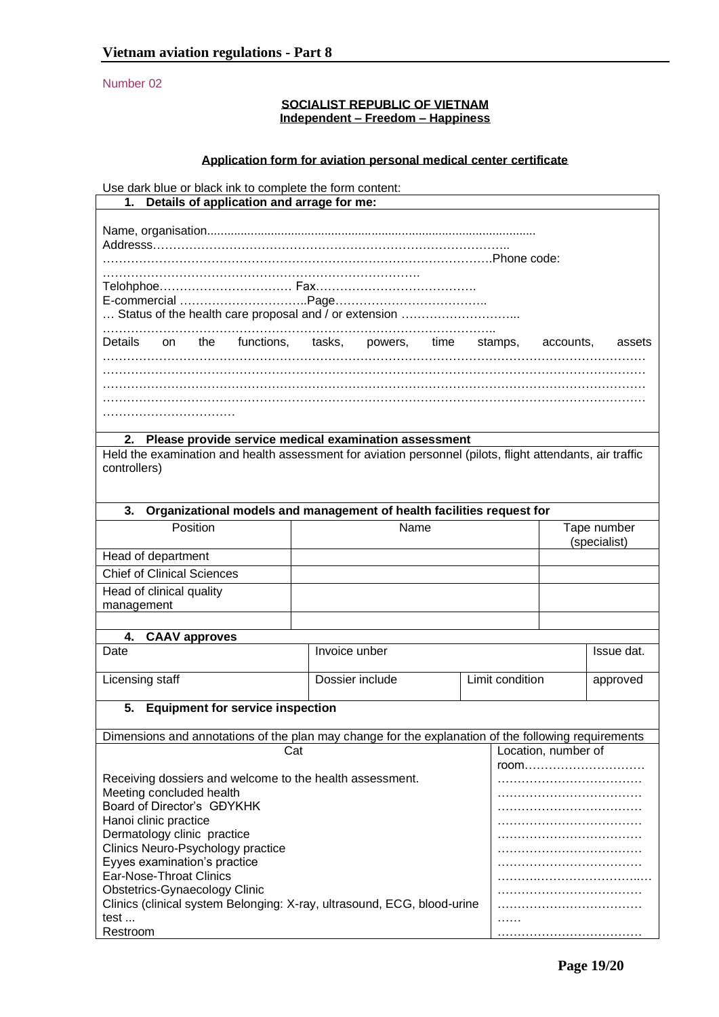Number 02

### **SOCIALIST REPUBLIC OF VIETNAM Independent – Freedom – Happiness**

## **Application form for aviation personal medical center certificate**

Use dark blue or black ink to complete the form content:

## **1. Details of application and arrage for me:**

Name, organisation.................................................................................................. Addresss…………………………………………………………………………….. …………………………………………………………………………………….Phone code: ……………………………………………………………………. Telohphoe…………………………… Fax…………………………………. E-commercial …………………………..Page……………………………….. … Status of the health care proposal and / or extension ………………………... …………………………………………………………………………………….. Details on the functions, tasks, powers, time stamps, accounts, assets ……………………………………………………………………………………………………………………… ……………………………………………………………………………………………………………………… ……………………………………………………………………………………………………………………… ……………………………………………………………………………………………………………………… ……………………………

### **2. Please provide service medical examination assessment**

Held the examination and health assessment for aviation personnel (pilots, flight attendants, air traffic controllers)

| Organizational models and management of health facilities request for<br>3.                         |                 |                 |                     |            |
|-----------------------------------------------------------------------------------------------------|-----------------|-----------------|---------------------|------------|
| Position                                                                                            | Name            |                 | Tape number         |            |
|                                                                                                     |                 |                 | (specialist)        |            |
| Head of department                                                                                  |                 |                 |                     |            |
| <b>Chief of Clinical Sciences</b>                                                                   |                 |                 |                     |            |
| Head of clinical quality                                                                            |                 |                 |                     |            |
| management                                                                                          |                 |                 |                     |            |
|                                                                                                     |                 |                 |                     |            |
| <b>CAAV approves</b><br>4.                                                                          |                 |                 |                     |            |
| Date                                                                                                | Invoice unber   |                 |                     | Issue dat. |
| Licensing staff                                                                                     | Dossier include | Limit condition |                     | approved   |
| <b>Equipment for service inspection</b><br>5.                                                       |                 |                 |                     |            |
| Dimensions and annotations of the plan may change for the explanation of the following requirements |                 |                 |                     |            |
| Cat                                                                                                 |                 |                 | Location, number of |            |
|                                                                                                     |                 |                 |                     |            |
| Receiving dossiers and welcome to the health assessment.                                            |                 |                 |                     |            |
| Meeting concluded health                                                                            |                 |                 |                     |            |
| Board of Director's GDYKHK                                                                          |                 |                 |                     |            |
| Hanoi clinic practice                                                                               |                 |                 |                     |            |
| Dermatology clinic practice<br>Clinics Neuro-Psychology practice                                    |                 |                 |                     |            |
| Evves examination's practice                                                                        |                 |                 |                     |            |

|                                                                         | room. |
|-------------------------------------------------------------------------|-------|
| Receiving dossiers and welcome to the health assessment.                |       |
| Meeting concluded health                                                |       |
| Board of Director's GDYKHK                                              |       |
| Hanoi clinic practice                                                   |       |
| Dermatology clinic practice                                             |       |
| Clinics Neuro-Psychology practice                                       |       |
| Eyyes examination's practice                                            |       |
| Ear-Nose-Throat Clinics                                                 |       |
| Obstetrics-Gynaecology Clinic                                           |       |
| Clinics (clinical system Belonging: X-ray, ultrasound, ECG, blood-urine |       |
| test                                                                    | .     |
| Restroom                                                                |       |
|                                                                         |       |